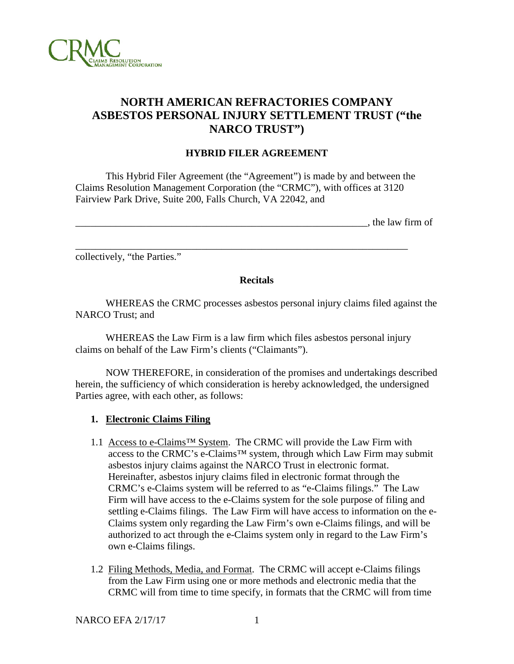

# **NORTH AMERICAN REFRACTORIES COMPANY ASBESTOS PERSONAL INJURY SETTLEMENT TRUST ("the NARCO TRUST")**

#### **HYBRID FILER AGREEMENT**

This Hybrid Filer Agreement (the "Agreement") is made by and between the Claims Resolution Management Corporation (the "CRMC"), with offices at 3120 Fairview Park Drive, Suite 200, Falls Church, VA 22042, and

\_\_\_\_\_\_\_\_\_\_\_\_\_\_\_\_\_\_\_\_\_\_\_\_\_\_\_\_\_\_\_\_\_\_\_\_\_\_\_\_\_\_\_\_\_\_\_\_\_\_\_\_\_\_\_\_\_\_\_\_\_\_\_\_\_\_

| the law firm o | $\sim$ $\sim$ | 11 OI |
|----------------|---------------|-------|
|                |               |       |

collectively, "the Parties."

#### **Recitals**

WHEREAS the CRMC processes asbestos personal injury claims filed against the NARCO Trust; and

WHEREAS the Law Firm is a law firm which files asbestos personal injury claims on behalf of the Law Firm's clients ("Claimants").

NOW THEREFORE, in consideration of the promises and undertakings described herein, the sufficiency of which consideration is hereby acknowledged, the undersigned Parties agree, with each other, as follows:

# **1. Electronic Claims Filing**

- 1.1 Access to e-Claims™ System. The CRMC will provide the Law Firm with access to the CRMC's e-Claims™ system, through which Law Firm may submit asbestos injury claims against the NARCO Trust in electronic format. Hereinafter, asbestos injury claims filed in electronic format through the CRMC's e-Claims system will be referred to as "e-Claims filings." The Law Firm will have access to the e-Claims system for the sole purpose of filing and settling e-Claims filings. The Law Firm will have access to information on the e-Claims system only regarding the Law Firm's own e-Claims filings, and will be authorized to act through the e-Claims system only in regard to the Law Firm's own e-Claims filings.
- 1.2 Filing Methods, Media, and Format. The CRMC will accept e-Claims filings from the Law Firm using one or more methods and electronic media that the CRMC will from time to time specify, in formats that the CRMC will from time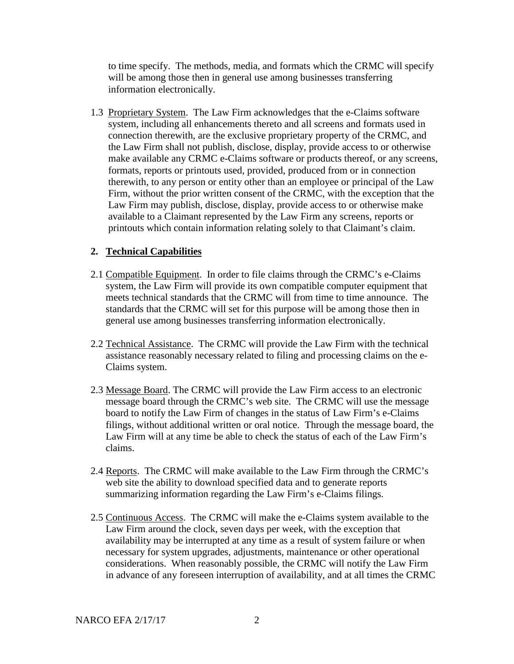to time specify. The methods, media, and formats which the CRMC will specify will be among those then in general use among businesses transferring information electronically.

1.3 Proprietary System. The Law Firm acknowledges that the e-Claims software system, including all enhancements thereto and all screens and formats used in connection therewith, are the exclusive proprietary property of the CRMC, and the Law Firm shall not publish, disclose, display, provide access to or otherwise make available any CRMC e-Claims software or products thereof, or any screens, formats, reports or printouts used, provided, produced from or in connection therewith, to any person or entity other than an employee or principal of the Law Firm, without the prior written consent of the CRMC, with the exception that the Law Firm may publish, disclose, display, provide access to or otherwise make available to a Claimant represented by the Law Firm any screens, reports or printouts which contain information relating solely to that Claimant's claim.

# **2. Technical Capabilities**

- 2.1 Compatible Equipment. In order to file claims through the CRMC's e-Claims system, the Law Firm will provide its own compatible computer equipment that meets technical standards that the CRMC will from time to time announce. The standards that the CRMC will set for this purpose will be among those then in general use among businesses transferring information electronically.
- 2.2 Technical Assistance. The CRMC will provide the Law Firm with the technical assistance reasonably necessary related to filing and processing claims on the e-Claims system.
- 2.3 Message Board. The CRMC will provide the Law Firm access to an electronic message board through the CRMC's web site. The CRMC will use the message board to notify the Law Firm of changes in the status of Law Firm's e-Claims filings, without additional written or oral notice. Through the message board, the Law Firm will at any time be able to check the status of each of the Law Firm's claims.
- 2.4 Reports. The CRMC will make available to the Law Firm through the CRMC's web site the ability to download specified data and to generate reports summarizing information regarding the Law Firm's e-Claims filings.
- 2.5 Continuous Access. The CRMC will make the e-Claims system available to the Law Firm around the clock, seven days per week, with the exception that availability may be interrupted at any time as a result of system failure or when necessary for system upgrades, adjustments, maintenance or other operational considerations. When reasonably possible, the CRMC will notify the Law Firm in advance of any foreseen interruption of availability, and at all times the CRMC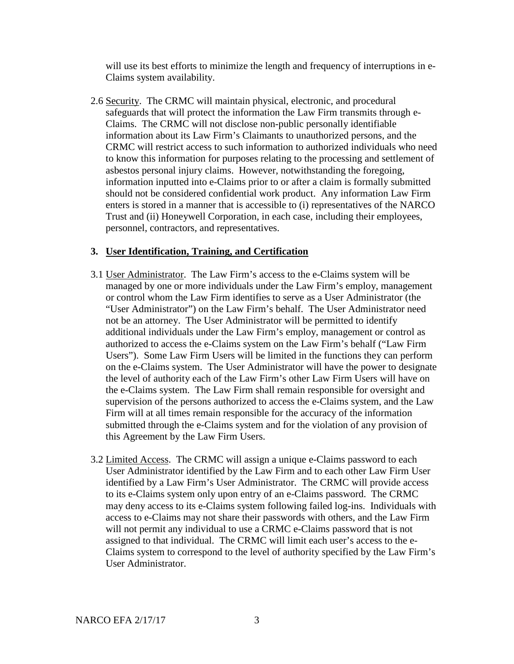will use its best efforts to minimize the length and frequency of interruptions in e-Claims system availability.

2.6 Security. The CRMC will maintain physical, electronic, and procedural safeguards that will protect the information the Law Firm transmits through e-Claims. The CRMC will not disclose non-public personally identifiable information about its Law Firm's Claimants to unauthorized persons, and the CRMC will restrict access to such information to authorized individuals who need to know this information for purposes relating to the processing and settlement of asbestos personal injury claims. However, notwithstanding the foregoing, information inputted into e-Claims prior to or after a claim is formally submitted should not be considered confidential work product. Any information Law Firm enters is stored in a manner that is accessible to (i) representatives of the NARCO Trust and (ii) Honeywell Corporation, in each case, including their employees, personnel, contractors, and representatives.

# **3. User Identification, Training, and Certification**

- 3.1 User Administrator. The Law Firm's access to the e-Claims system will be managed by one or more individuals under the Law Firm's employ, management or control whom the Law Firm identifies to serve as a User Administrator (the "User Administrator") on the Law Firm's behalf. The User Administrator need not be an attorney. The User Administrator will be permitted to identify additional individuals under the Law Firm's employ, management or control as authorized to access the e-Claims system on the Law Firm's behalf ("Law Firm Users"). Some Law Firm Users will be limited in the functions they can perform on the e-Claims system. The User Administrator will have the power to designate the level of authority each of the Law Firm's other Law Firm Users will have on the e-Claims system. The Law Firm shall remain responsible for oversight and supervision of the persons authorized to access the e-Claims system, and the Law Firm will at all times remain responsible for the accuracy of the information submitted through the e-Claims system and for the violation of any provision of this Agreement by the Law Firm Users.
- 3.2 Limited Access. The CRMC will assign a unique e-Claims password to each User Administrator identified by the Law Firm and to each other Law Firm User identified by a Law Firm's User Administrator. The CRMC will provide access to its e-Claims system only upon entry of an e-Claims password. The CRMC may deny access to its e-Claims system following failed log-ins. Individuals with access to e-Claims may not share their passwords with others, and the Law Firm will not permit any individual to use a CRMC e-Claims password that is not assigned to that individual. The CRMC will limit each user's access to the e-Claims system to correspond to the level of authority specified by the Law Firm's User Administrator.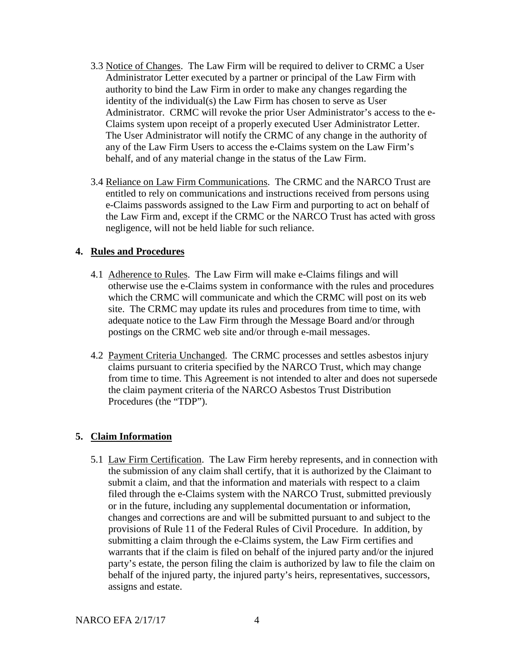- 3.3 Notice of Changes. The Law Firm will be required to deliver to CRMC a User Administrator Letter executed by a partner or principal of the Law Firm with authority to bind the Law Firm in order to make any changes regarding the identity of the individual(s) the Law Firm has chosen to serve as User Administrator. CRMC will revoke the prior User Administrator's access to the e-Claims system upon receipt of a properly executed User Administrator Letter. The User Administrator will notify the CRMC of any change in the authority of any of the Law Firm Users to access the e-Claims system on the Law Firm's behalf, and of any material change in the status of the Law Firm.
- 3.4 Reliance on Law Firm Communications. The CRMC and the NARCO Trust are entitled to rely on communications and instructions received from persons using e-Claims passwords assigned to the Law Firm and purporting to act on behalf of the Law Firm and, except if the CRMC or the NARCO Trust has acted with gross negligence, will not be held liable for such reliance.

# **4. Rules and Procedures**

- 4.1 Adherence to Rules. The Law Firm will make e-Claims filings and will otherwise use the e-Claims system in conformance with the rules and procedures which the CRMC will communicate and which the CRMC will post on its web site. The CRMC may update its rules and procedures from time to time, with adequate notice to the Law Firm through the Message Board and/or through postings on the CRMC web site and/or through e-mail messages.
- 4.2 Payment Criteria Unchanged. The CRMC processes and settles asbestos injury claims pursuant to criteria specified by the NARCO Trust, which may change from time to time. This Agreement is not intended to alter and does not supersede the claim payment criteria of the NARCO Asbestos Trust Distribution Procedures (the "TDP").

#### **5. Claim Information**

5.1 Law Firm Certification. The Law Firm hereby represents, and in connection with the submission of any claim shall certify, that it is authorized by the Claimant to submit a claim, and that the information and materials with respect to a claim filed through the e-Claims system with the NARCO Trust, submitted previously or in the future, including any supplemental documentation or information, changes and corrections are and will be submitted pursuant to and subject to the provisions of Rule 11 of the Federal Rules of Civil Procedure. In addition, by submitting a claim through the e-Claims system, the Law Firm certifies and warrants that if the claim is filed on behalf of the injured party and/or the injured party's estate, the person filing the claim is authorized by law to file the claim on behalf of the injured party, the injured party's heirs, representatives, successors, assigns and estate.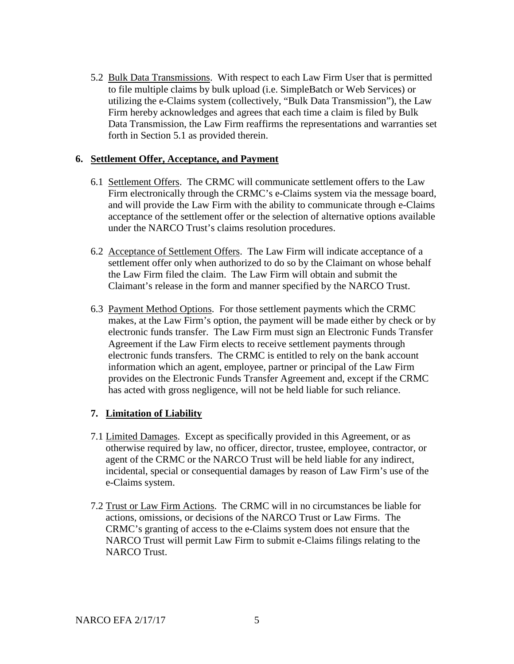5.2 Bulk Data Transmissions. With respect to each Law Firm User that is permitted to file multiple claims by bulk upload (i.e. SimpleBatch or Web Services) or utilizing the e-Claims system (collectively, "Bulk Data Transmission"), the Law Firm hereby acknowledges and agrees that each time a claim is filed by Bulk Data Transmission, the Law Firm reaffirms the representations and warranties set forth in Section 5.1 as provided therein.

#### **6. Settlement Offer, Acceptance, and Payment**

- 6.1 Settlement Offers. The CRMC will communicate settlement offers to the Law Firm electronically through the CRMC's e-Claims system via the message board, and will provide the Law Firm with the ability to communicate through e-Claims acceptance of the settlement offer or the selection of alternative options available under the NARCO Trust's claims resolution procedures.
- 6.2 Acceptance of Settlement Offers. The Law Firm will indicate acceptance of a settlement offer only when authorized to do so by the Claimant on whose behalf the Law Firm filed the claim. The Law Firm will obtain and submit the Claimant's release in the form and manner specified by the NARCO Trust.
- 6.3 Payment Method Options. For those settlement payments which the CRMC makes, at the Law Firm's option, the payment will be made either by check or by electronic funds transfer. The Law Firm must sign an Electronic Funds Transfer Agreement if the Law Firm elects to receive settlement payments through electronic funds transfers. The CRMC is entitled to rely on the bank account information which an agent, employee, partner or principal of the Law Firm provides on the Electronic Funds Transfer Agreement and, except if the CRMC has acted with gross negligence, will not be held liable for such reliance.

# **7. Limitation of Liability**

- 7.1 Limited Damages. Except as specifically provided in this Agreement, or as otherwise required by law, no officer, director, trustee, employee, contractor, or agent of the CRMC or the NARCO Trust will be held liable for any indirect, incidental, special or consequential damages by reason of Law Firm's use of the e-Claims system.
- 7.2 Trust or Law Firm Actions. The CRMC will in no circumstances be liable for actions, omissions, or decisions of the NARCO Trust or Law Firms. The CRMC's granting of access to the e-Claims system does not ensure that the NARCO Trust will permit Law Firm to submit e-Claims filings relating to the NARCO Trust.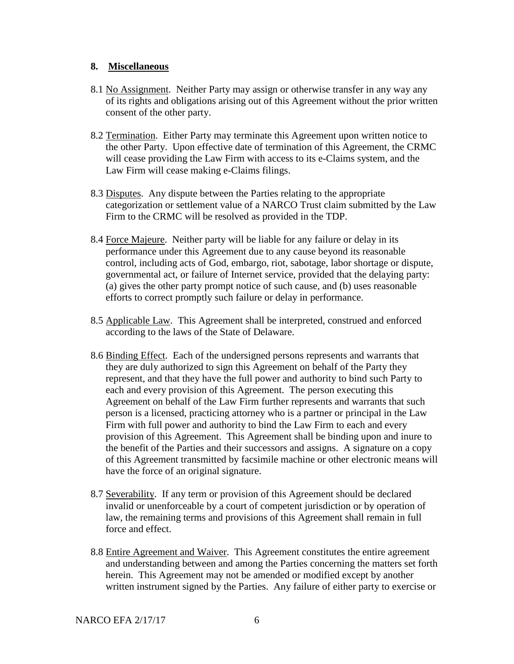#### **8. Miscellaneous**

- 8.1 No Assignment. Neither Party may assign or otherwise transfer in any way any of its rights and obligations arising out of this Agreement without the prior written consent of the other party.
- 8.2 Termination. Either Party may terminate this Agreement upon written notice to the other Party. Upon effective date of termination of this Agreement, the CRMC will cease providing the Law Firm with access to its e-Claims system, and the Law Firm will cease making e-Claims filings.
- 8.3 Disputes. Any dispute between the Parties relating to the appropriate categorization or settlement value of a NARCO Trust claim submitted by the Law Firm to the CRMC will be resolved as provided in the TDP.
- 8.4 Force Majeure. Neither party will be liable for any failure or delay in its performance under this Agreement due to any cause beyond its reasonable control, including acts of God, embargo, riot, sabotage, labor shortage or dispute, governmental act, or failure of Internet service, provided that the delaying party: (a) gives the other party prompt notice of such cause, and (b) uses reasonable efforts to correct promptly such failure or delay in performance.
- 8.5 Applicable Law. This Agreement shall be interpreted, construed and enforced according to the laws of the State of Delaware.
- 8.6 Binding Effect. Each of the undersigned persons represents and warrants that they are duly authorized to sign this Agreement on behalf of the Party they represent, and that they have the full power and authority to bind such Party to each and every provision of this Agreement. The person executing this Agreement on behalf of the Law Firm further represents and warrants that such person is a licensed, practicing attorney who is a partner or principal in the Law Firm with full power and authority to bind the Law Firm to each and every provision of this Agreement. This Agreement shall be binding upon and inure to the benefit of the Parties and their successors and assigns. A signature on a copy of this Agreement transmitted by facsimile machine or other electronic means will have the force of an original signature.
- 8.7 Severability. If any term or provision of this Agreement should be declared invalid or unenforceable by a court of competent jurisdiction or by operation of law, the remaining terms and provisions of this Agreement shall remain in full force and effect.
- 8.8 Entire Agreement and Waiver. This Agreement constitutes the entire agreement and understanding between and among the Parties concerning the matters set forth herein. This Agreement may not be amended or modified except by another written instrument signed by the Parties. Any failure of either party to exercise or